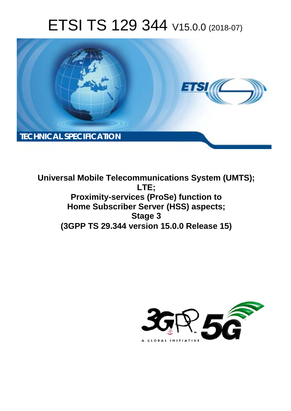# ETSI TS 129 344 V15.0.0 (2018-07)



**Universal Mobile Telecommunications System (UMTS); LTE; Proximity-services (ProSe) function to Home Subscriber Server (HSS) aspects; Stage 3 (3GPP TS 29.344 version 15.0.0 Release 15)** 

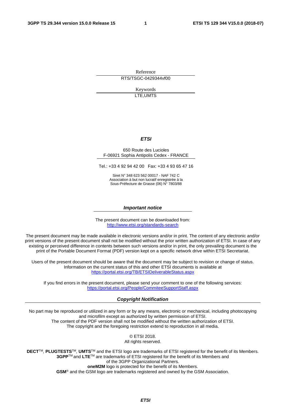Reference RTS/TSGC-0429344vf00

> Keywords LTE,UMTS

#### *ETSI*

#### 650 Route des Lucioles F-06921 Sophia Antipolis Cedex - FRANCE

Tel.: +33 4 92 94 42 00 Fax: +33 4 93 65 47 16

Siret N° 348 623 562 00017 - NAF 742 C Association à but non lucratif enregistrée à la Sous-Préfecture de Grasse (06) N° 7803/88

#### *Important notice*

The present document can be downloaded from: <http://www.etsi.org/standards-search>

The present document may be made available in electronic versions and/or in print. The content of any electronic and/or print versions of the present document shall not be modified without the prior written authorization of ETSI. In case of any existing or perceived difference in contents between such versions and/or in print, the only prevailing document is the print of the Portable Document Format (PDF) version kept on a specific network drive within ETSI Secretariat.

Users of the present document should be aware that the document may be subject to revision or change of status. Information on the current status of this and other ETSI documents is available at <https://portal.etsi.org/TB/ETSIDeliverableStatus.aspx>

If you find errors in the present document, please send your comment to one of the following services: <https://portal.etsi.org/People/CommiteeSupportStaff.aspx>

#### *Copyright Notification*

No part may be reproduced or utilized in any form or by any means, electronic or mechanical, including photocopying and microfilm except as authorized by written permission of ETSI. The content of the PDF version shall not be modified without the written authorization of ETSI. The copyright and the foregoing restriction extend to reproduction in all media.

> © ETSI 2018. All rights reserved.

**DECT**TM, **PLUGTESTS**TM, **UMTS**TM and the ETSI logo are trademarks of ETSI registered for the benefit of its Members. **3GPP**TM and **LTE**TM are trademarks of ETSI registered for the benefit of its Members and of the 3GPP Organizational Partners. **oneM2M** logo is protected for the benefit of its Members.

**GSM**® and the GSM logo are trademarks registered and owned by the GSM Association.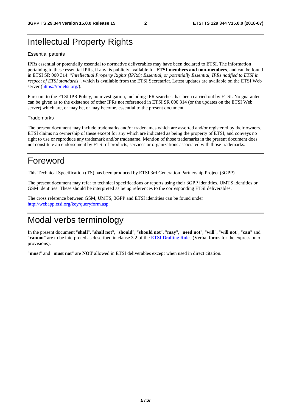## Intellectual Property Rights

#### Essential patents

IPRs essential or potentially essential to normative deliverables may have been declared to ETSI. The information pertaining to these essential IPRs, if any, is publicly available for **ETSI members and non-members**, and can be found in ETSI SR 000 314: *"Intellectual Property Rights (IPRs); Essential, or potentially Essential, IPRs notified to ETSI in respect of ETSI standards"*, which is available from the ETSI Secretariat. Latest updates are available on the ETSI Web server ([https://ipr.etsi.org/\)](https://ipr.etsi.org/).

Pursuant to the ETSI IPR Policy, no investigation, including IPR searches, has been carried out by ETSI. No guarantee can be given as to the existence of other IPRs not referenced in ETSI SR 000 314 (or the updates on the ETSI Web server) which are, or may be, or may become, essential to the present document.

#### **Trademarks**

The present document may include trademarks and/or tradenames which are asserted and/or registered by their owners. ETSI claims no ownership of these except for any which are indicated as being the property of ETSI, and conveys no right to use or reproduce any trademark and/or tradename. Mention of those trademarks in the present document does not constitute an endorsement by ETSI of products, services or organizations associated with those trademarks.

## Foreword

This Technical Specification (TS) has been produced by ETSI 3rd Generation Partnership Project (3GPP).

The present document may refer to technical specifications or reports using their 3GPP identities, UMTS identities or GSM identities. These should be interpreted as being references to the corresponding ETSI deliverables.

The cross reference between GSM, UMTS, 3GPP and ETSI identities can be found under [http://webapp.etsi.org/key/queryform.asp.](http://webapp.etsi.org/key/queryform.asp)

## Modal verbs terminology

In the present document "**shall**", "**shall not**", "**should**", "**should not**", "**may**", "**need not**", "**will**", "**will not**", "**can**" and "**cannot**" are to be interpreted as described in clause 3.2 of the [ETSI Drafting Rules](https://portal.etsi.org/Services/editHelp!/Howtostart/ETSIDraftingRules.aspx) (Verbal forms for the expression of provisions).

"**must**" and "**must not**" are **NOT** allowed in ETSI deliverables except when used in direct citation.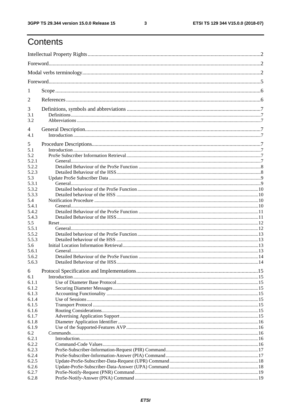$\mathbf{3}$ 

## Contents

| 1          |  |  |  |  |  |  |
|------------|--|--|--|--|--|--|
| 2          |  |  |  |  |  |  |
| 3          |  |  |  |  |  |  |
| 3.1<br>3.2 |  |  |  |  |  |  |
| 4          |  |  |  |  |  |  |
| 4.1        |  |  |  |  |  |  |
| 5          |  |  |  |  |  |  |
| 5.1<br>5.2 |  |  |  |  |  |  |
| 5.2.1      |  |  |  |  |  |  |
| 5.2.2      |  |  |  |  |  |  |
| 5.2.3      |  |  |  |  |  |  |
| 5.3        |  |  |  |  |  |  |
| 5.3.1      |  |  |  |  |  |  |
| 5.3.2      |  |  |  |  |  |  |
| 5.3.3      |  |  |  |  |  |  |
| 5.4        |  |  |  |  |  |  |
| 5.4.1      |  |  |  |  |  |  |
| 5.4.2      |  |  |  |  |  |  |
| 5.4.3      |  |  |  |  |  |  |
| 5.5        |  |  |  |  |  |  |
| 5.5.1      |  |  |  |  |  |  |
| 5.5.2      |  |  |  |  |  |  |
| 5.5.3      |  |  |  |  |  |  |
| 5.6        |  |  |  |  |  |  |
| 5.6.1      |  |  |  |  |  |  |
| 5.6.2      |  |  |  |  |  |  |
| 5.6.3      |  |  |  |  |  |  |
| 6          |  |  |  |  |  |  |
| 6.1        |  |  |  |  |  |  |
| 6.1.1      |  |  |  |  |  |  |
| 6.1.2      |  |  |  |  |  |  |
| 6.1.3      |  |  |  |  |  |  |
| 6.1.4      |  |  |  |  |  |  |
| 6.1.5      |  |  |  |  |  |  |
| 6.1.6      |  |  |  |  |  |  |
| 6.1.7      |  |  |  |  |  |  |
| 6.1.8      |  |  |  |  |  |  |
| 6.1.9      |  |  |  |  |  |  |
| 6.2        |  |  |  |  |  |  |
| 6.2.1      |  |  |  |  |  |  |
| 6.2.2      |  |  |  |  |  |  |
| 6.2.3      |  |  |  |  |  |  |
| 6.2.4      |  |  |  |  |  |  |
| 6.2.5      |  |  |  |  |  |  |
| 6.2.6      |  |  |  |  |  |  |
| 6.2.7      |  |  |  |  |  |  |
| 6.2.8      |  |  |  |  |  |  |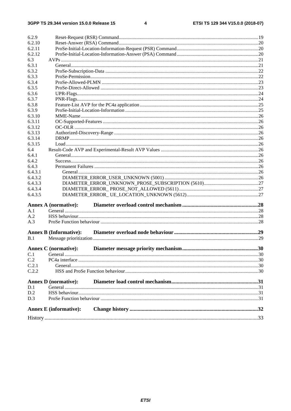| 6.2.9   |                               |  |  |  |  |  |  |
|---------|-------------------------------|--|--|--|--|--|--|
| 6.2.10  |                               |  |  |  |  |  |  |
| 6.2.11  |                               |  |  |  |  |  |  |
| 6.2.12  |                               |  |  |  |  |  |  |
| 6.3     |                               |  |  |  |  |  |  |
| 6.3.1   |                               |  |  |  |  |  |  |
| 6.3.2   |                               |  |  |  |  |  |  |
| 6.3.3   |                               |  |  |  |  |  |  |
| 6.3.4   |                               |  |  |  |  |  |  |
| 6.3.5   |                               |  |  |  |  |  |  |
| 6.3.6   |                               |  |  |  |  |  |  |
| 6.3.7   |                               |  |  |  |  |  |  |
| 6.3.8   |                               |  |  |  |  |  |  |
| 6.3.9   |                               |  |  |  |  |  |  |
| 6.3.10  |                               |  |  |  |  |  |  |
| 6.3.11  |                               |  |  |  |  |  |  |
| 6.3.12  |                               |  |  |  |  |  |  |
| 6.3.13  |                               |  |  |  |  |  |  |
| 6.3.14  |                               |  |  |  |  |  |  |
| 6.3.15  |                               |  |  |  |  |  |  |
| 6.4     |                               |  |  |  |  |  |  |
| 6.4.1   |                               |  |  |  |  |  |  |
| 6.4.2   |                               |  |  |  |  |  |  |
| 6.4.3   |                               |  |  |  |  |  |  |
| 6.4.3.1 |                               |  |  |  |  |  |  |
| 6.4.3.2 |                               |  |  |  |  |  |  |
| 6.4.3.3 |                               |  |  |  |  |  |  |
| 6.4.3.4 |                               |  |  |  |  |  |  |
| 6.4.3.5 |                               |  |  |  |  |  |  |
|         |                               |  |  |  |  |  |  |
|         | <b>Annex A (normative):</b>   |  |  |  |  |  |  |
| A.1     |                               |  |  |  |  |  |  |
| A.2     |                               |  |  |  |  |  |  |
| A.3     |                               |  |  |  |  |  |  |
|         |                               |  |  |  |  |  |  |
| B.1     | <b>Annex B (Informative):</b> |  |  |  |  |  |  |
|         |                               |  |  |  |  |  |  |
|         | <b>Annex C</b> (normative):   |  |  |  |  |  |  |
| C.1     |                               |  |  |  |  |  |  |
| C.2     |                               |  |  |  |  |  |  |
| C.2.1   |                               |  |  |  |  |  |  |
| C.2.2   |                               |  |  |  |  |  |  |
|         |                               |  |  |  |  |  |  |
|         | <b>Annex D</b> (normative):   |  |  |  |  |  |  |
| D.1     |                               |  |  |  |  |  |  |
| D.2     |                               |  |  |  |  |  |  |
| D.3     |                               |  |  |  |  |  |  |
|         |                               |  |  |  |  |  |  |
|         | <b>Annex E</b> (informative): |  |  |  |  |  |  |
|         |                               |  |  |  |  |  |  |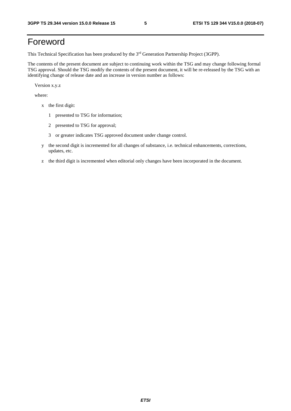## Foreword

This Technical Specification has been produced by the 3rd Generation Partnership Project (3GPP).

The contents of the present document are subject to continuing work within the TSG and may change following formal TSG approval. Should the TSG modify the contents of the present document, it will be re-released by the TSG with an identifying change of release date and an increase in version number as follows:

Version x.y.z

where:

- x the first digit:
	- 1 presented to TSG for information;
	- 2 presented to TSG for approval;
	- 3 or greater indicates TSG approved document under change control.
- y the second digit is incremented for all changes of substance, i.e. technical enhancements, corrections, updates, etc.
- z the third digit is incremented when editorial only changes have been incorporated in the document.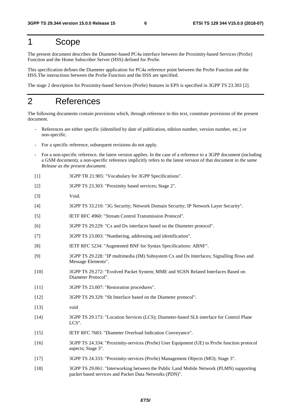## 1 Scope

The present document describes the Diameter-based PC4a interface between the Proximity-based Services (ProSe) Function and the Home Subscriber Server (HSS) defined for ProSe.

This specification defines the Diameter application for PC4a reference point between the ProSe Function and the HSS.The interactions between the ProSe Function and the HSS are specified.

The stage 2 description for Proximity-based Services (ProSe) features in EPS is specified in 3GPP TS 23.303 [2].

## 2 References

The following documents contain provisions which, through reference in this text, constitute provisions of the present document.

- References are either specific (identified by date of publication, edition number, version number, etc.) or non-specific.
- For a specific reference, subsequent revisions do not apply.
- For a non-specific reference, the latest version applies. In the case of a reference to a 3GPP document (including a GSM document), a non-specific reference implicitly refers to the latest version of that document *in the same Release as the present document*.
- [1] 3GPP TR 21.905: "Vocabulary for 3GPP Specifications".
- [2] 3GPP TS 23.303: "Proximity based services; Stage 2".
- [3] Void.
- [4] 3GPP TS 33.210: "3G Security; Network Domain Security; IP Network Layer Security".
- [5] IETF RFC 4960: "Stream Control Transmission Protocol".
- [6] 3GPP TS 29.229: "Cx and Dx interfaces based on the Diameter protocol".
- [7] 3GPP TS 23.003: "Numbering, addressing and identification".
- [8] IETF RFC 5234: "Augmented BNF for Syntax Specifications: ABNF".
- [9] 3GPP TS 29.228: "IP multimedia (IM) Subsystem Cx and Dx Interfaces; Signalling flows and Message Elements".
- [10] 3GPP TS 29.272: "Evolved Packet System; MME and SGSN Related Interfaces Based on Diameter Protocol".
- [11] 3GPP TS 23.007: "Restoration procedures".
- [12] 3GPP TS 29.329: "Sh Interface based on the Diameter protocol".
- [13] void
- [14] 3GPP TS 29.173: "Location Services (LCS); Diameter-based SLh interface for Control Plane LCS".
- [15] IETF RFC 7683: "Diameter Overload Indication Conveyance".
- [16] 3GPP TS 24.334: "Proximity-services (ProSe) User Equipment (UE) to ProSe function protocol aspects; Stage 3".
- [17] 3GPP TS 24.333: "Proximity-services (ProSe) Management Objects (MO); Stage 3".
- [18] 3GPP TS 29.061: "Interworking between the Public Land Mobile Network (PLMN) supporting packet based services and Packet Data Networks (PDN)".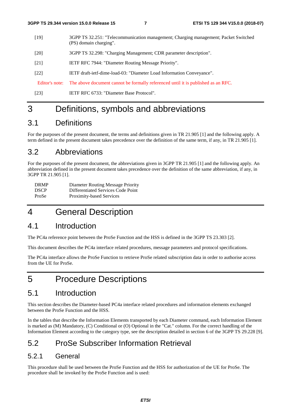- [19] 3GPP TS 32.251: "Telecommunication management; Charging management; Packet Switched (PS) domain charging".
- [20] 3GPP TS 32.298: "Charging Management; CDR parameter description".
- [21] IETF RFC 7944: "Diameter Routing Message Priority".
- [22] IETF draft-ietf-dime-load-03: "Diameter Load Information Conveyance".

Editor's note: The above document cannot be formally referenced until it is published as an RFC.

[23] IETF RFC 6733: "Diameter Base Protocol".

## 3 Definitions, symbols and abbreviations

### 3.1 Definitions

For the purposes of the present document, the terms and definitions given in TR 21.905 [1] and the following apply. A term defined in the present document takes precedence over the definition of the same term, if any, in TR 21.905 [1].

### 3.2 Abbreviations

For the purposes of the present document, the abbreviations given in 3GPP TR 21.905 [1] and the following apply. An abbreviation defined in the present document takes precedence over the definition of the same abbreviation, if any, in 3GPP TR 21.905 [1].

| <b>DRMP</b> | Diameter Routing Message Priority  |
|-------------|------------------------------------|
| <b>DSCP</b> | Differentiated Services Code Point |
| ProSe       | Proximity-based Services           |

## 4 General Description

### 4.1 Introduction

The PC4a reference point between the ProSe Function and the HSS is defined in the 3GPP TS 23.303 [2].

This document describes the PC4a interface related procedures, message parameters and protocol specifications.

The PC4a interface allows the ProSe Function to retrieve ProSe related subscription data in order to authorise access from the UE for ProSe.

## 5 Procedure Descriptions

### 5.1 Introduction

This section describes the Diameter-based PC4a interface related procedures and information elements exchanged between the ProSe Function and the HSS.

In the tables that describe the Information Elements transported by each Diameter command, each Information Element is marked as (M) Mandatory, (C) Conditional or (O) Optional in the "Cat." column. For the correct handling of the Information Element according to the category type, see the description detailed in section 6 of the 3GPP TS 29.228 [9].

### 5.2 ProSe Subscriber Information Retrieval

#### 5.2.1 General

This procedure shall be used between the ProSe Function and the HSS for authorization of the UE for ProSe. The procedure shall be invoked by the ProSe Function and is used: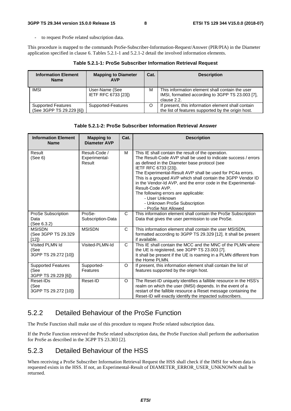- to request ProSe related subscription data.

This procedure is mapped to the commands ProSe-Subscriber-Information-Request/Answer (PIR/PIA) in the Diameter application specified in clause 6. Tables 5.2.1-1 and 5.2.1-2 detail the involved information elements.

**Table 5.2.1-1: ProSe Subscriber Information Retrieval Request** 

| <b>Information Element</b><br><b>Name</b>             | <b>Mapping to Diameter</b><br><b>AVP</b> | Cat. | <b>Description</b>                                                                                                 |
|-------------------------------------------------------|------------------------------------------|------|--------------------------------------------------------------------------------------------------------------------|
| <b>IMSI</b>                                           | User-Name (See<br>IETF RFC 6733 [23])    | М    | This information element shall contain the user<br>IMSI, formatted according to 3GPP TS 23.003 [7],<br>clause 2.2. |
| <b>Supported Features</b><br>(See 3GPP TS 29.229 [6]) | Supported-Features                       |      | If present, this information element shall contain<br>the list of features supported by the origin host.           |

|  | Table 5.2.1-2: ProSe Subscriber Information Retrieval Answer |
|--|--------------------------------------------------------------|
|--|--------------------------------------------------------------|

| <b>Information Element</b><br><b>Name</b>                | <b>Mapping to</b><br><b>Diameter AVP</b> | Cat.    | <b>Description</b>                                                                                                                                                                                                                                                                                                                                                                                                                                                                                                                |
|----------------------------------------------------------|------------------------------------------|---------|-----------------------------------------------------------------------------------------------------------------------------------------------------------------------------------------------------------------------------------------------------------------------------------------------------------------------------------------------------------------------------------------------------------------------------------------------------------------------------------------------------------------------------------|
| Result<br>(See 6)                                        | Result-Code /<br>Experimental-<br>Result | M       | This IE shall contain the result of the operation.<br>The Result-Code AVP shall be used to indicate success / errors<br>as defined in the Diameter base protocol (see<br>IETF RFC 6733 [23]).<br>The Experimental-Result AVP shall be used for PC4a errors.<br>This is a grouped AVP which shall contain the 3GPP Vendor ID<br>in the Vendor-Id AVP, and the error code in the Experimental-<br>Result-Code AVP.<br>The following errors are applicable:<br>- User Unknown<br>- Unknown ProSe Subscription<br>- ProSe Not Allowed |
| ProSe Subscription<br>Data<br>(See 6.3.2)                | ProSe-<br>Subscription-Data              | C       | This information element shall contain the ProSe Subscription<br>Data that gives the user permission to use ProSe.                                                                                                                                                                                                                                                                                                                                                                                                                |
| <b>MSISDN</b><br>(See 3GPP TS 29.329<br>[12])            | <b>MSISDN</b>                            | C       | This information element shall contain the user MSISDN,<br>formatted according to 3GPP TS 29.329 [12]. It shall be present<br>if available.                                                                                                                                                                                                                                                                                                                                                                                       |
| Visited PLMN Id<br>(See<br>3GPP TS 29.272 [10])          | Visited-PLMN-Id                          | C       | This IE shall contain the MCC and the MNC of the PLMN where<br>the UE is registered, see 3GPP TS 23.003 [7].<br>It shall be present if the UE is roaming in a PLMN different from<br>the Home PLMN.                                                                                                                                                                                                                                                                                                                               |
| <b>Supported Features</b><br>(See<br>3GPP TS 29.229 [6]) | Supported-<br>Features                   | $\circ$ | If present, this information element shall contain the list of<br>features supported by the origin host.                                                                                                                                                                                                                                                                                                                                                                                                                          |
| Reset-IDs<br>(See<br>3GPP TS 29.272 [10])                | Reset-ID                                 | $\circ$ | The Reset-ID uniquely identifies a fallible resource in the HSS's<br>realm on which the user (IMSI) depends. In the event of a<br>restart of the fallible resource a Reset message containing the<br>Reset-ID will exactly identify the impacted subscribers.                                                                                                                                                                                                                                                                     |

### 5.2.2 Detailed Behaviour of the ProSe Function

The ProSe Function shall make use of this procedure to request ProSe related subscription data.

If the ProSe Function retrieved the ProSe related subscription data, the ProSe Function shall perform the authorisation for ProSe as described in the 3GPP TS 23.303 [2].

#### 5.2.3 Detailed Behaviour of the HSS

When receiving a ProSe Subscriber Information Retrieval Request the HSS shall check if the IMSI for whom data is requested exists in the HSS. If not, an Experimental-Result of DIAMETER\_ERROR\_USER\_UNKNOWN shall be returned.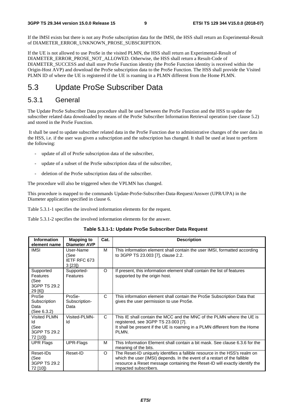If the IMSI exists but there is not any ProSe subscription data for the IMSI, the HSS shall return an Experimental-Result of DIAMETER\_ERROR\_UNKNOWN\_PROSE\_SUBSCRIPTION.

If the UE is not allowed to use ProSe in the visited PLMN, the HSS shall return an Experimental-Result of DIAMETER\_ERROR\_PROSE\_NOT\_ALLOWED. Otherwise, the HSS shall return a Result-Code of DIAMETER\_SUCCESS and shall store ProSe Function identity (the ProSe Function identity is received within the Origin-Host AVP) and download the ProSe subscription data to the ProSe Function. The HSS shall provide the Visited PLMN ID of where the UE is registered if the UE is roaming in a PLMN different from the Home PLMN.

### 5.3 Update ProSe Subscriber Data

#### 5.3.1 General

The Update ProSe Subscriber Data procedure shall be used between the ProSe Function and the HSS to update the subscriber related data downloaded by means of the ProSe Subscriber Information Retrieval operation (see clause 5.2) and stored in the ProSe Function.

 It shall be used to update subscriber related data in the ProSe Function due to administrative changes of the user data in the HSS, i.e. if the user was given a subscription and the subscription has changed. It shall be used at least to perform the following:

- update of all of ProSe subscription data of the subscriber,
- update of a subset of the ProSe subscription data of the subscriber,
- deletion of the ProSe subscription data of the subscriber.

The procedure will also be triggered when the VPLMN has changed.

This procedure is mapped to the commands Update-ProSe-Subscriber-Data-Request/Answer (UPR/UPA) in the Diameter application specified in clause 6.

Table 5.3.1-1 specifies the involved information elements for the request.

Table 5.3.1-2 specifies the involved information elements for the answer.

| Table 5.3.1-1: Update ProSe Subscriber Data Request |  |  |  |  |
|-----------------------------------------------------|--|--|--|--|
|-----------------------------------------------------|--|--|--|--|

| <b>Information</b><br>element name                       | <b>Mapping to</b><br><b>Diameter AVP</b>    | Cat.         | <b>Description</b>                                                                                                                                                                                                                                            |
|----------------------------------------------------------|---------------------------------------------|--------------|---------------------------------------------------------------------------------------------------------------------------------------------------------------------------------------------------------------------------------------------------------------|
| <b>IMSI</b>                                              | User-Name<br>(See<br>IETF RFC 673<br>3 [23] | M            | This information element shall contain the user IMSI, formatted according<br>to 3GPP TS 23.003 [7], clause 2.2.                                                                                                                                               |
| Supported<br>Features<br>(See<br>3GPP TS 29.2<br>29 [6]) | Supported-<br>Features                      | O            | If present, this information element shall contain the list of features<br>supported by the origin host.                                                                                                                                                      |
| ProSe<br>Subscription<br>Data<br>(See 6.3.2)             | ProSe-<br>Subscription-<br>Data             | $\mathsf{C}$ | This information element shall contain the ProSe Subscription Data that<br>gives the user permission to use ProSe.                                                                                                                                            |
| Visited PLMN<br>ld<br>(See<br>3GPP TS 29.2<br>72 [10])   | Visited-PLMN-<br>ld                         | $\mathsf{C}$ | This IE shall contain the MCC and the MNC of the PLMN where the UE is<br>registered, see 3GPP TS 23.003 [7].<br>It shall be present if the UE is roaming in a PLMN different from the Home<br>PLMN.                                                           |
| <b>UPR Flags</b>                                         | UPR-Flags                                   | M            | This Information Element shall contain a bit mask. See clause 6.3.6 for the<br>meaning of the bits.                                                                                                                                                           |
| Reset-IDs<br>(See<br>3GPP TS 29.2<br>72 [10])            | Reset-ID                                    | $\Omega$     | The Reset-ID uniquely identifies a fallible resource in the HSS's realm on<br>which the user (IMSI) depends. In the event of a restart of the fallible<br>resource a Reset message containing the Reset-ID will exactly identify the<br>impacted subscribers. |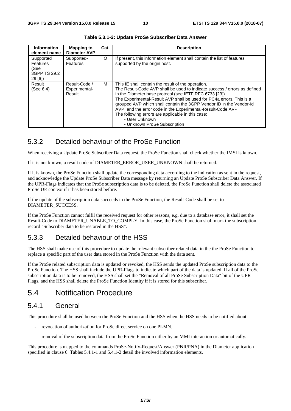| <b>Information</b><br>element name                     | <b>Mapping to</b><br><b>Diameter AVP</b> | Cat.    | <b>Description</b>                                                                                                                                                                                                                                                                                                                                                                                                                                                                                               |
|--------------------------------------------------------|------------------------------------------|---------|------------------------------------------------------------------------------------------------------------------------------------------------------------------------------------------------------------------------------------------------------------------------------------------------------------------------------------------------------------------------------------------------------------------------------------------------------------------------------------------------------------------|
| Supported<br>Features<br>(See<br>3GPP TS 29.2<br>29[6] | Supported-<br>Features                   | $\circ$ | If present, this information element shall contain the list of features<br>supported by the origin host.                                                                                                                                                                                                                                                                                                                                                                                                         |
| Result<br>(See 6.4)                                    | Result-Code /<br>Experimental-<br>Result | м       | This IE shall contain the result of the operation.<br>The Result-Code AVP shall be used to indicate success / errors as defined<br>in the Diameter base protocol (see IETF RFC 6733 [23]).<br>The Experimental-Result AVP shall be used for PC4a errors. This is a<br>grouped AVP which shall contain the 3GPP Vendor ID in the Vendor-Id<br>AVP, and the error code in the Experimental-Result-Code AVP.<br>The following errors are applicable in this case:<br>- User Unknown<br>- Unknown ProSe Subscription |

**Table 5.3.1-2: Update ProSe Subscriber Data Answer** 

### 5.3.2 Detailed behaviour of the ProSe Function

When receiving a Update ProSe Subscriber Data request, the ProSe Function shall check whether the IMSI is known.

If it is not known, a result code of DIAMETER\_ERROR\_USER\_UNKNOWN shall be returned.

If it is known, the ProSe Function shall update the corresponding data according to the indication as sent in the request, and acknowledge the Update ProSe Subscriber Data message by returning an Update ProSe Subscriber Data Answer. If the UPR-Flags indicates that the ProSe subscription data is to be deleted, the ProSe Function shall delete the associated ProSe UE context if it has been stored before.

If the update of the subscription data succeeds in the ProSe Function, the Result-Code shall be set to DIAMETER\_SUCCESS.

If the ProSe Function cannot fulfil the received request for other reasons, e.g. due to a database error, it shall set the Result-Code to DIAMETER\_UNABLE\_TO\_COMPLY. In this case, the ProSe Function shall mark the subscription record "Subscriber data to be restored in the HSS".

#### 5.3.3 Detailed behaviour of the HSS

The HSS shall make use of this procedure to update the relevant subscriber related data in the the ProSe Function to replace a specific part of the user data stored in the ProSe Function with the data sent.

If the ProSe related subscription data is updated or revoked, the HSS sends the updated ProSe subscription data to the ProSe Function. The HSS shall include the UPR-Flags to indicate which part of the data is updated. If all of the ProSe subscription data is to be removed, the HSS shall set the "Removal of all ProSe Subscription Data" bit of the UPR-Flags, and the HSS shall delete the ProSe Function Identity if it is stored for this subscriber.

### 5.4 Notification Procedure

#### 5.4.1 General

This procedure shall be used between the ProSe Function and the HSS when the HSS needs to be notified about:

- revocation of authorization for ProSe direct service on one PLMN.
- removal of the subscription data from the ProSe Function either by an MMI interaction or automatically.

This procedure is mapped to the commands ProSe-Notify-Request/Answer (PNR/PNA) in the Diameter application specified in clause 6. Tables 5.4.1-1 and 5.4.1-2 detail the involved information elements.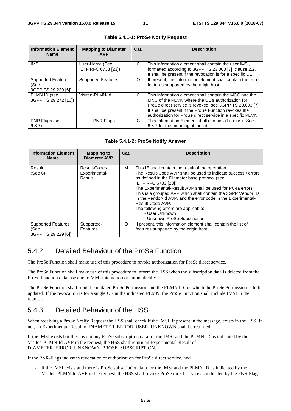| <b>Information Element</b><br><b>Name</b>                | <b>Mapping to Diameter</b><br><b>AVP</b> | Cat. | <b>Description</b>                                                                                                                                                                                                                                                                            |
|----------------------------------------------------------|------------------------------------------|------|-----------------------------------------------------------------------------------------------------------------------------------------------------------------------------------------------------------------------------------------------------------------------------------------------|
| <b>IMSI</b>                                              | User-Name (See<br>IETF RFC 6733 [23])    | С    | This information element shall contain the user IMSI,<br>formatted according to 3GPP TS 23.003 [7], clause 2.2.<br>It shall be present if the revocation is for a specific UE.                                                                                                                |
| <b>Supported Features</b><br>(See<br>3GPP TS 29.229 [6]) | Supported-Features                       | O    | If present, this information element shall contain the list of<br>features supported by the origin host.                                                                                                                                                                                      |
| PLMN ID (see<br>3GPP TS 29.272 [10])                     | Visited-PLMN-Id                          | С    | This information element shall contain the MCC and the<br>MNC of the PLMN where the UE's authorization for<br>ProSe direct service is revoked, see 3GPP TS 23.003 [7].<br>It shall be present if the ProSe Function revokes the<br>authorization for ProSe direct service in a specific PLMN. |
| <b>PNR Flags (see</b><br>6.3.7                           | PNR-Flags                                | C    | This Information Element shall contain a bit mask. See<br>6.3.7 for the meaning of the bits.                                                                                                                                                                                                  |

#### **Table 5.4.1-1: ProSe Notify Request**

#### **Table 5.4.1-2: ProSe Notify Answer**

| <b>Information Element</b><br><b>Name</b>                | <b>Mapping to</b><br><b>Diameter AVP</b> | Cat. | <b>Description</b>                                                                                                                                                                                                                                                                                                                                                                                                                                                                                         |
|----------------------------------------------------------|------------------------------------------|------|------------------------------------------------------------------------------------------------------------------------------------------------------------------------------------------------------------------------------------------------------------------------------------------------------------------------------------------------------------------------------------------------------------------------------------------------------------------------------------------------------------|
| Result<br>(See 6)                                        | Result-Code /<br>Experimental-<br>Result | м    | This IE shall contain the result of the operation.<br>The Result-Code AVP shall be used to indicate success / errors<br>as defined in the Diameter base protocol (see<br>IETF RFC 6733 [23]).<br>The Experimental-Result AVP shall be used for PC4a errors.<br>This is a grouped AVP which shall contain the 3GPP Vendor ID<br>in the Vendor-Id AVP, and the error code in the Experimental-<br>Result-Code AVP.<br>The following errors are applicable:<br>- User Unknown<br>- Unknown ProSe Subscription |
| <b>Supported Features</b><br>(See<br>3GPP TS 29.229 [6]) | Supported-<br><b>Features</b>            | O    | If present, this information element shall contain the list of<br>features supported by the origin host.                                                                                                                                                                                                                                                                                                                                                                                                   |

#### 5.4.2 Detailed Behaviour of the ProSe Function

The ProSe Function shall make use of this procedure to revoke authorization for ProSe direct service.

The ProSe Function shall make use of this procedure to inform the HSS when the subscription data is deleted from the ProSe Function database due to MMI interaction or automatically.

The ProSe Function shall send the updated ProSe Permission and the PLMN ID for which the ProSe Permission is to be updated. If the revocation is for a single UE in the indicated PLMN, the ProSe Function shall include IMSI in the request.

#### 5.4.3 Detailed Behaviour of the HSS

When receiving a ProSe Notify Request the HSS shall check if the IMSI, if present in the message, exists in the HSS. If not, an Experimental-Result of DIAMETER\_ERROR\_USER\_UNKNOWN shall be returned.

If the IMSI exists but there is not any ProSe subscription data for the IMSI and the PLMN ID as indicated by the Visited-PLMN-Id AVP in the request, the HSS shall return an Experimental-Result of DIAMETER\_ERROR\_UNKNOWN\_PROSE\_SUBSCRIPTION.

If the PNR-Flags indicates revocation of authorization for ProSe direct service, and

if the IMSI exists and there is ProSe subscription data for the IMSI and the PLMN ID as indicated by the Visited-PLMN-Id AVP in the request, the HSS shall revoke ProSe direct service as indicated by the PNR Flags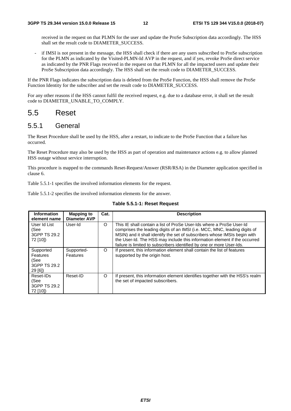received in the request on that PLMN for the user and update the ProSe Subscription data accordingly. The HSS shall set the result code to DIAMETER\_SUCCESS.

if IMSI is not present in the message, the HSS shall check if there are any users subscribed to ProSe subscription for the PLMN as indicated by the Visited-PLMN-Id AVP in the request, and if yes, revoke ProSe direct service as indicated by the PNR Flags received in the request on that PLMN for all the impacted users and update their ProSe Subscription data accordingly. The HSS shall set the result code to DIAMETER\_SUCCESS.

If the PNR Flags indicates the subscription data is deleted from the ProSe Function, the HSS shall remove the ProSe Function Identity for the subscriber and set the result code to DIAMETER\_SUCCESS.

For any other reasons if the HSS cannot fulfil the received request, e.g. due to a database error, it shall set the result code to DIAMETER\_UNABLE\_TO\_COMPLY.

### 5.5 Reset

#### 5.5.1 General

The Reset Procedure shall be used by the HSS, after a restart, to indicate to the ProSe Function that a failure has occurred.

The Reset Procedure may also be used by the HSS as part of operation and maintenance actions e.g. to allow planned HSS outage without service interruption.

This procedure is mapped to the commands Reset-Request/Answer (RSR/RSA) in the Diameter application specified in clause 6.

Table 5.5.1-1 specifies the involved information elements for the request.

Table 5.5.1-2 specifies the involved information elements for the answer.

#### **Table 5.5.1-1: Reset Request**

| <b>Information</b><br>element name                     | <b>Mapping to</b><br><b>Diameter AVP</b> | Cat.     | <b>Description</b>                                                                                                                                                                                                                                                                                                                                                                   |
|--------------------------------------------------------|------------------------------------------|----------|--------------------------------------------------------------------------------------------------------------------------------------------------------------------------------------------------------------------------------------------------------------------------------------------------------------------------------------------------------------------------------------|
| User Id List<br>(See<br>3GPP TS 29.2<br>72 [10])       | User-Id                                  | $\Omega$ | This IE shall contain a list of ProSe User-Ids where a ProSe User-Id<br>comprises the leading digits of an IMSI (i.e. MCC, MNC, leading digits of<br>MSIN) and it shall identify the set of subscribers whose IMSIs begin with<br>the User-Id. The HSS may include this information element if the occurred<br>failure is limited to subscribers identified by one or more User-Ids. |
| Supported<br>Features<br>(See<br>3GPP TS 29.2<br>29[6] | Supported-<br><b>Features</b>            | $\Omega$ | If present, this information element shall contain the list of features<br>supported by the origin host.                                                                                                                                                                                                                                                                             |
| Reset-IDs<br>(See<br>3GPP TS 29.2<br>72 [10])          | Reset-ID                                 | $\Omega$ | If present, this information element identifies together with the HSS's realm<br>the set of impacted subscribers.                                                                                                                                                                                                                                                                    |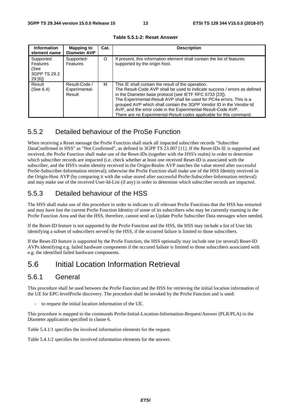| <b>Information</b><br>element name                       | <b>Mapping to</b><br><b>Diameter AVP</b> | Cat. | <b>Description</b>                                                                                                                                                                                                                                                                                                                                                                                                                                                               |
|----------------------------------------------------------|------------------------------------------|------|----------------------------------------------------------------------------------------------------------------------------------------------------------------------------------------------------------------------------------------------------------------------------------------------------------------------------------------------------------------------------------------------------------------------------------------------------------------------------------|
| Supported<br>Features<br>(See<br>3GPP TS 29.2<br>29 [6]) | Supported-<br><b>Features</b>            | O    | If present, this information element shall contain the list of features<br>supported by the origin host.                                                                                                                                                                                                                                                                                                                                                                         |
| Result<br>(See 6.4)                                      | Result-Code /<br>Experimental-<br>Result | м    | This IE shall contain the result of the operation.<br>The Result-Code AVP shall be used to indicate success / errors as defined<br>in the Diameter base protocol (see IETF RFC 6733 [23]).<br>The Experimental-Result AVP shall be used for PC4a errors. This is a<br>grouped AVP which shall contain the 3GPP Vendor ID in the Vendor-Id<br>AVP, and the error code in the Experimental-Result-Code AVP.<br>There are no Experimental-Result codes applicable for this command. |

**Table 5.5.1-2: Reset Answer** 

#### 5.5.2 Detailed behaviour of the ProSe Function

When receiving a Reset message the ProSe Function shall mark all impacted subscriber records "Subscriber DataConfirmed in HSS" as "Not Confirmed", as defined in 3GPP TS 23.007 [11]. If the Reset-IDs IE is supported and received, the ProSe Function shall make use of the Reset-IDs (together with the HSS's realm) in order to determine which subscriber records are impacted (i.e. check whether at least one received Reset-ID is associated with the subscriber, and the HSS's realm identity received in the Origin-Realm AVP matches the value stored after successful ProSe-Subscriber-Information retrieval); otherwise the ProSe Function shall make use of the HSS Identity received in the Origin-Host AVP (by comparing it with the value stored after successful ProSe-Subscriber-Information retrieval) and may make use of the received User-Id-List (if any) in order to determine which subscriber records are impacted.

### 5.5.3 Detailed behaviour of the HSS

The HSS shall make use of this procedure in order to indicate to all relevant ProSe Functions that the HSS has restarted and may have lost the current ProSe Function Identity of some of its subscribers who may be currently roaming in the ProSe Function Area and that the HSS, therefore, cannot send an Update ProSe Subscriber Data messages when needed.

If the Reset-ID feature is not supported by the ProSe Function and the HSS, the HSS may include a list of User Ids identifying a subset of subscribers served by the HSS, if the occurred failure is limited to those subscribers.

If the Reset-ID feature is supported by the ProSe Function, the HSS optionally may include one (or several) Reset-ID AVPs identifying e.g. failed hardware components if the occured failure is limited to those subscribers associated with e.g. the identified failed hardware components.

### 5.6 Initial Location Information Retrieval

#### 5.6.1 General

This procedure shall be used between the ProSe Function and the HSS for retrieving the initial location information of the UE for EPC-levelProSe discovery. The procedure shall be invoked by the ProSe Function and is used:

to request the initial location information of the UE.

This procedure is mapped to the commands ProSe-Initial-Location-Information-Request/Answer (PLR/PLA) in the Diameter application specified in clause 6.

Table 5.4.1/1 specifies the involved information elements for the request.

Table 5.4.1/2 specifies the involved information elements for the answer.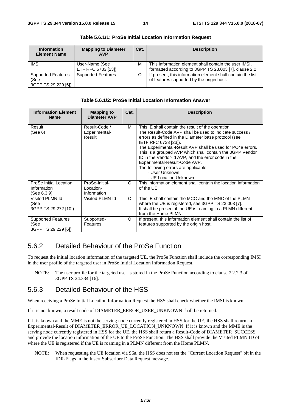| <b>Information</b><br><b>Element Name</b>                | <b>Mapping to Diameter</b><br><b>AVP</b> | Cat. | <b>Description</b>                                                                                              |
|----------------------------------------------------------|------------------------------------------|------|-----------------------------------------------------------------------------------------------------------------|
| <b>IMSI</b>                                              | User-Name (See<br>ETF RFC 6733 [23])     | м    | This information element shall contain the user IMSI,<br>formatted according to 3GPP TS 23.003 [7], clause 2.2. |
| <b>Supported Features</b><br>(See<br>3GPP TS 29.229 [6]) | Supported-Features                       | O    | If present, this information element shall contain the list<br>of features supported by the origin host.        |

**Table 5.6.1/1: ProSe Initial Location Information Request** 

| Table 5.6.1/2: ProSe Initial Location Information Answer |
|----------------------------------------------------------|
|----------------------------------------------------------|

| <b>Information Element</b><br><b>Name</b>                | <b>Mapping to</b><br><b>Diameter AVP</b>   | Cat.     | <b>Description</b>                                                                                                                                                                                                                                                                                                                                                                                                                                                                                 |
|----------------------------------------------------------|--------------------------------------------|----------|----------------------------------------------------------------------------------------------------------------------------------------------------------------------------------------------------------------------------------------------------------------------------------------------------------------------------------------------------------------------------------------------------------------------------------------------------------------------------------------------------|
| Result<br>(See 6)                                        | Result-Code /<br>Experimental-<br>Result   | M        | This IE shall contain the result of the operation.<br>The Result-Code AVP shall be used to indicate success /<br>errors as defined in the Diameter base protocol (see<br>IETF RFC 6733 [23]).<br>The Experimental-Result AVP shall be used for PC4a errors.<br>This is a grouped AVP which shall contain the 3GPP Vendor<br>ID in the Vendor-Id AVP, and the error code in the<br>Experimental-Result-Code AVP.<br>The following errors are applicable:<br>- User Unknown<br>- UE Location Unknown |
| ProSe Initial Location<br>Information<br>(See 6.3.9)     | ProSe-Initial-<br>Location-<br>Information | C        | This information element shall contain the location information<br>of the UE.                                                                                                                                                                                                                                                                                                                                                                                                                      |
| Visited PLMN Id<br>(See<br>3GPP TS 29.272 [10])          | Visited-PLMN-Id                            | C.       | This IE shall contain the MCC and the MNC of the PLMN<br>where the UE is registered, see 3GPP TS 23.003 [7].<br>It shall be present if the UE is roaming in a PLMN different<br>from the Home PLMN.                                                                                                                                                                                                                                                                                                |
| <b>Supported Features</b><br>(See<br>3GPP TS 29.229 [6]) | Supported-<br>Features                     | $\Omega$ | If present, this information element shall contain the list of<br>features supported by the origin host.                                                                                                                                                                                                                                                                                                                                                                                           |

#### 5.6.2 Detailed Behaviour of the ProSe Function

To request the initial location information of the targeted UE, the ProSe Function shall include the corresponding IMSI in the user profile of the targeted user in ProSe Initial Location Information Request.

NOTE: The user profile for the targeted user is stored in the ProSe Function according to clause 7.2.2.3 of 3GPP TS 24.334 [16].

#### 5.6.3 Detailed Behaviour of the HSS

When receiving a ProSe Initial Location Information Request the HSS shall check whether the IMSI is known.

If it is not known, a result code of DIAMETER\_ERROR\_USER\_UNKNOWN shall be returned.

If it is known and the MME is not the serving node currently registered in HSS for the UE, the HSS shall return an Experimental-Result of DIAMETER\_ERROR\_UE\_LOCATION\_UNKNOWN. If it is known and the MME is the serving node currently registered in HSS for the UE, the HSS shall return a Result-Code of DIAMETER\_SUCCESS and provide the location information of the UE to the ProSe Function. The HSS shall provide the Visited PLMN ID of where the UE is registered if the UE is roaming in a PLMN different from the Home PLMN.

NOTE: When requesting the UE location via S6a, the HSS does not set the "Current Location Request" bit in the IDR-Flags in the Insert Subscriber Data Request message.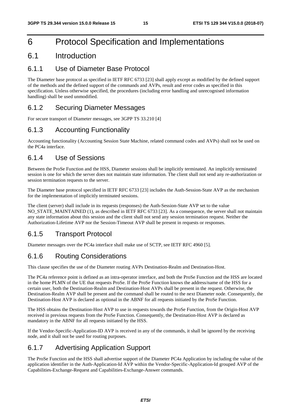## 6 Protocol Specification and Implementations

### 6.1 Introduction

#### 6.1.1 Use of Diameter Base Protocol

The Diameter base protocol as specified in IETF RFC 6733 [23] shall apply except as modified by the defined support of the methods and the defined support of the commands and AVPs, result and error codes as specified in this specification. Unless otherwise specified, the procedures (including error handling and unrecognised information handling) shall be used unmodified.

### 6.1.2 Securing Diameter Messages

For secure transport of Diameter messages, see 3GPP TS 33.210 [4]

### 6.1.3 Accounting Functionality

Accounting functionality (Accounting Session State Machine, related command codes and AVPs) shall not be used on the PC4a interface.

#### 6.1.4 Use of Sessions

Between the ProSe Function and the HSS, Diameter sessions shall be implicitly terminated. An implicitly terminated session is one for which the server does not maintain state information. The client shall not send any re-authorization or session termination requests to the server.

The Diameter base protocol specified in IETF RFC 6733 [23] includes the Auth-Session-State AVP as the mechanism for the implementation of implicitly terminated sessions.

The client (server) shall include in its requests (responses) the Auth-Session-State AVP set to the value NO\_STATE\_MAINTAINED (1), as described in IETF RFC 6733 [23]. As a consequence, the server shall not maintain any state information about this session and the client shall not send any session termination request. Neither the Authorization-Lifetime AVP nor the Session-Timeout AVP shall be present in requests or responses.

### 6.1.5 Transport Protocol

Diameter messages over the PC4a interface shall make use of SCTP, see IETF RFC 4960 [5].

#### 6.1.6 Routing Considerations

This clause specifies the use of the Diameter routing AVPs Destination-Realm and Destination-Host.

The PC4a reference point is defined as an intra-operator interface, and both the ProSe Function and the HSS are located in the home PLMN of the UE that requests ProSe. If the ProSe Function knows the address/name of the HSS for a certain user, both the Destination-Realm and Destination-Host AVPs shall be present in the request. Otherwise, the Destination-Realm AVP shall be present and the command shall be routed to the next Diameter node. Consequently, the Destination-Host AVP is declared as optional in the ABNF for all requests initiated by the ProSe Function.

The HSS obtains the Destination-Host AVP to use in requests towards the ProSe Function, from the Origin-Host AVP received in previous requests from the ProSe Function. Consequently, the Destination-Host AVP is declared as mandatory in the ABNF for all requests initiated by the HSS.

If the Vendor-Specific-Application-ID AVP is received in any of the commands, it shall be ignored by the receiving node, and it shall not be used for routing purposes.

#### 6.1.7 Advertising Application Support

The ProSe Function and the HSS shall advertise support of the Diameter PC4a Application by including the value of the application identifier in the Auth-Application-Id AVP within the Vendor-Specific-Application-Id grouped AVP of the Capabilities-Exchange-Request and Capabilities-Exchange-Answer commands.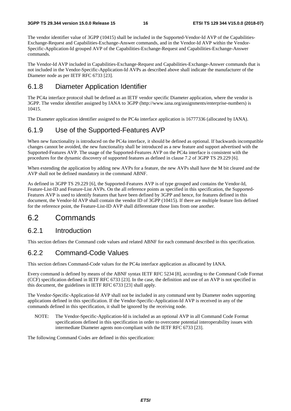The vendor identifier value of 3GPP (10415) shall be included in the Supported-Vendor-Id AVP of the Capabilities-Exchange-Request and Capabilities-Exchange-Answer commands, and in the Vendor-Id AVP within the Vendor-Specific-Application-Id grouped AVP of the Capabilities-Exchange-Request and Capabilities-Exchange-Answer commands.

The Vendor-Id AVP included in Capabilities-Exchange-Request and Capabilities-Exchange-Answer commands that is not included in the Vendor-Specific-Application-Id AVPs as described above shall indicate the manufacturer of the Diameter node as per IETF RFC 6733 [23].

#### 6.1.8 Diameter Application Identifier

The PC4a interface protocol shall be defined as an IETF vendor specific Diameter application, where the vendor is 3GPP. The vendor identifier assigned by IANA to 3GPP (http://www.iana.org/assignments/enterprise-numbers) is 10415.

The Diameter application identifier assigned to the PC4a interface application is 16777336 (allocated by IANA).

### 6.1.9 Use of the Supported-Features AVP

When new functionality is introduced on the PC4a interface, it should be defined as optional. If backwards incompatible changes cannot be avoided, the new functionality shall be introduced as a new feature and support advertised with the Supported-Features AVP. The usage of the Supported-Features AVP on the PC4a interface is consistent with the procedures for the dynamic discovery of supported features as defined in clause 7.2 of 3GPP TS 29.229 [6].

When extending the application by adding new AVPs for a feature, the new AVPs shall have the M bit cleared and the AVP shall not be defined mandatory in the command ABNF.

As defined in 3GPP TS 29.229 [6], the Supported-Features AVP is of type grouped and contains the Vendor-Id, Feature-List-ID and Feature-List AVPs. On the all reference points as specified in this specification, the Supported-Features AVP is used to identify features that have been defined by 3GPP and hence, for features defined in this document, the Vendor-Id AVP shall contain the vendor ID of 3GPP (10415). If there are multiple feature lists defined for the reference point, the Feature-List-ID AVP shall differentiate those lists from one another.

### 6.2 Commands

#### 6.2.1 Introduction

This section defines the Command code values and related ABNF for each command described in this specification.

### 6.2.2 Command-Code Values

This section defines Command-Code values for the PC4a interface application as allocated by IANA.

Every command is defined by means of the ABNF syntax IETF RFC 5234 [8], according to the Command Code Format (CCF) specification defined in IETF RFC 6733 [23]. In the case, the definition and use of an AVP is not specified in this document, the guidelines in IETF RFC 6733 [23] shall apply.

The Vendor-Specific-Application-Id AVP shall not be included in any command sent by Diameter nodes supporting applications defined in this specification. If the Vendor-Specific-Application-Id AVP is received in any of the commands defined in this specification, it shall be ignored by the receiving node.

NOTE: The Vendor-Specific-Application-Id is included as an optional AVP in all Command Code Format specifications defined in this specification in order to overcome potential interoperability issues with intermediate Diameter agents non-compliant with the IETF RFC 6733 [23].

The following Command Codes are defined in this specification: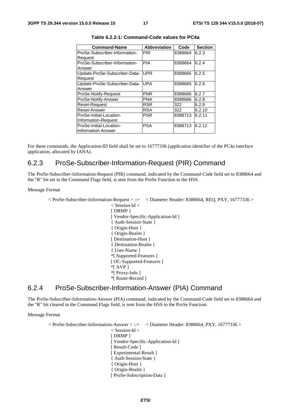| <b>Command-Name</b>           | <b>Abbreviation</b> | Code    | <b>Section</b> |
|-------------------------------|---------------------|---------|----------------|
| ProSe-Subscriber-Information- | <b>PIR</b>          | 8388664 | 6.2.3          |
| Request                       |                     |         |                |
| ProSe-Subscriber-Information- | <b>PIA</b>          | 8388664 | 6.2.4          |
| Answer                        |                     |         |                |
| Update-ProSe-Subscriber-Data- | <b>UPR</b>          | 8388665 | 6.2.5          |
| Request                       |                     |         |                |
| Update-ProSe-Subscriber-Data- | <b>UPA</b>          | 8388665 | 6.2.6          |
| Answer                        |                     |         |                |
| ProSe-Notify-Request          | <b>PNR</b>          | 8388666 | 6.2.7          |
| ProSe-Notify-Answer           | <b>PNA</b>          | 8388666 | 6.2.8          |
| Reset-Request                 | <b>RSR</b>          | 322     | 6.2.9          |
| Reset-Answer                  | <b>RSA</b>          | 322     | 6.2.10         |
| ProSe-Initial-Location-       | <b>PSR</b>          | 8388713 | 6.2.11         |
| <b>Information-Request</b>    |                     |         |                |
| ProSe-Initial-Location-       | <b>PSA</b>          | 8388713 | 6.2.12         |
| <b>Information-Answer</b>     |                     |         |                |

**Table 6.2.2-1: Command-Code values for PC4a** 

For these commands, the Application-ID field shall be set to 16777336 (application identifier of the PC4a interface application, allocated by IANA).

#### 6.2.3 ProSe-Subscriber-Information-Request (PIR) Command

The ProSe-Subscriber-Information-Request (PIR) command, indicated by the Command-Code field set to 8388664 and the "R" bit set in the Command Flags field, is sent from the ProSe Function to the HSS.

Message Format

```
< ProSe-Subscriber-Information-Request > ::= < Diameter Header: 8388664, REQ, PXY, 16777336 > 
                 < Session-Id >
```
[ DRMP ] [ Vendor-Specific-Application-Id ] { Auth-Session-State } { Origin-Host } { Origin-Realm } [ Destination-Host ] { Destination-Realm } { User-Name } \*[ Supported-Features ] [ OC-Supported-Features ] \*[ AVP ] \*[ Proxy-Info ] \*[ Route-Record ]

#### 6.2.4 ProSe-Subscriber-Information-Answer (PIA) Command

The ProSe-Subscriber-Information-Answer (PIA) command, indicated by the Command-Code field set to 8388664 and the "R" bit cleared in the Command Flags field, is sent from the HSS to the ProSe Function.

Message Format

```
< ProSe-Subscriber-Information-Answer > ::= < Diameter Header: 8388664, PXY, 16777336 > 
                   < Session-Id > 
                   [ DRMP ] 
                   [ Vendor-Specific-Application-Id ] 
                   [ Result-Code ] 
                   [ Experimental-Result ]
                   { Auth-Session-State } 
                   { Origin-Host } 
                   { Origin-Realm } 
                   [ ProSe-Subscription-Data ]
```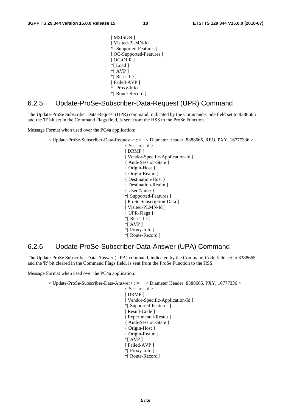[ MSISDN ] [ Visited-PLMN-Id ] \*[ Supported-Features ] [ OC-Supported-Features ]  $[OC-OLR]$ \*[ Load ] \*[ AVP ] \*[ Reset-ID ] [ Failed-AVP ] \*[ Proxy-Info ] \*[ Route-Record ]

#### 6.2.5 Update-ProSe-Subscriber-Data-Request (UPR) Command

The Update-ProSe Subscriber Data-Request (UPR) command, indicated by the Command-Code field set to 8388665 and the 'R' bit set in the Command Flags field, is sent from the HSS to the ProSe Function.

Message Format when used over the PC4a application:

< Update-ProSe-Subscriber-Data-Request > ::= < Diameter Header: 8388665, REQ, PXY, 16777336 >

< Session-Id > [ DRMP ] [ Vendor-Specific-Application-Id ] { Auth-Session-State } { Origin-Host } { Origin-Realm } { Destination-Host } { Destination-Realm } { User-Name } \*[ Supported-Features ] [ ProSe Subscription-Data ] [ Visited-PLMN-Id ] { UPR-Flags } \*[ Reset-ID ] \*[ AVP ] \*[ Proxy-Info ] \*[ Route-Record ]

#### 6.2.6 Update-ProSe-Subscriber-Data-Answer (UPA) Command

The Update-ProSe Subscriber Data-Answer (UPA) command, indicated by the Command-Code field set to 8388665 and the 'R' bit cleared in the Command Flags field, is sent from the ProSe Function to the HSS.

Message Format when used over the PC4a application:

< Update-ProSe-Subscriber-Data-Answer> ::= < Diameter Header: 8388665, PXY, 16777336 >

< Session-Id > [ DRMP ] [ Vendor-Specific-Application-Id ] \*[ Supported-Features ] [ Result-Code ] [ Experimental-Result ] { Auth-Session-State } { Origin-Host } { Origin-Realm } \*[ AVP ] [ Failed-AVP ] \*[ Proxy-Info ] \*[ Route-Record ]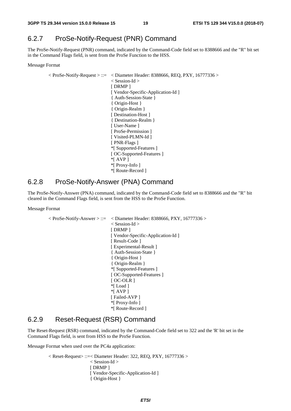### 6.2.7 ProSe-Notify-Request (PNR) Command

The ProSe-Notify-Request (PNR) command, indicated by the Command-Code field set to 8388666 and the "R" bit set in the Command Flags field, is sent from the ProSe Function to the HSS.

Message Format

 $\langle$  ProSe-Notify-Request  $> ::= \langle$  Diameter Header: 8388666, REQ, PXY, 16777336  $>$ < Session-Id > [ DRMP ] [ Vendor-Specific-Application-Id ] { Auth-Session-State } { Origin-Host } { Origin-Realm } [ Destination-Host ] { Destination-Realm } [ User-Name ] [ ProSe-Permission ] [ Visited-PLMN-Id ] [ PNR-Flags ] \*[ Supported-Features ] [ OC-Supported-Features ] \*[ AVP ] \*[ Proxy-Info ] \*[ Route-Record ]

#### 6.2.8 ProSe-Notify-Answer (PNA) Command

The ProSe-Notify-Answer (PNA) command, indicated by the Command-Code field set to 8388666 and the "R" bit cleared in the Command Flags field, is sent from the HSS to the ProSe Function.

Message Format

 $\langle$  ProSe-Notify-Answer  $\rangle$  ::=  $\langle$  Diameter Header: 8388666, PXY, 16777336  $\rangle$ < Session-Id > [ DRMP ] [ Vendor-Specific-Application-Id ] [ Result-Code ] [ Experimental-Result ] { Auth-Session-State } { Origin-Host } { Origin-Realm } \*[ Supported-Features ] [ OC-Supported-Features ] [ OC-OLR ] \*[ Load ] \*[ AVP ] [ Failed-AVP ] \*[ Proxy-Info ] \*[ Route-Record ]

#### 6.2.9 Reset-Request (RSR) Command

The Reset-Request (RSR) command, indicated by the Command-Code field set to 322 and the 'R' bit set in the Command Flags field, is sent from HSS to the ProSe Function.

Message Format when used over the PC4a application:

< Reset-Request> ::=< Diameter Header: 322, REQ, PXY, 16777336 > < Session-Id > [ DRMP ] [ Vendor-Specific-Application-Id ] { Origin-Host }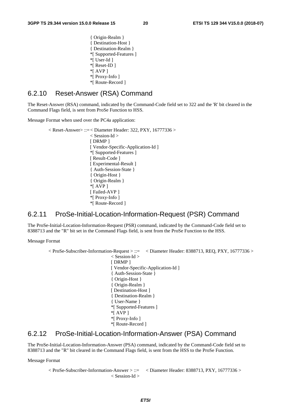{ Origin-Realm } { Destination-Host } { Destination-Realm } \*[ Supported-Features ] \*[ User-Id ] \*[ Reset-ID ]  $*$ [ AVP ] \*[ Proxy-Info ] \*[ Route-Record ]

#### 6.2.10 Reset-Answer (RSA) Command

The Reset-Answer (RSA) command, indicated by the Command-Code field set to 322 and the 'R' bit cleared in the Command Flags field, is sent from ProSe Function to HSS.

Message Format when used over the PC4a application:

```
< Reset-Answer> ::=< Diameter Header: 322, PXY, 16777336 >< Session-Id > 
        [ DRMP ] 
         [ Vendor-Specific-Application-Id ] 
         *[ Supported-Features ] 
         [ Result-Code ]
         [ Experimental-Result ]
         { Auth-Session-State } 
          { Origin-Host } 
         { Origin-Realm } 
         *[ AVP ] 
         [ Failed-AVP ]
         *[ Proxy-Info ] 
         *[ Route-Record ]
```
#### 6.2.11 ProSe-Initial-Location-Information-Request (PSR) Command

The ProSe-Initial-Location-Information-Request (PSR) command, indicated by the Command-Code field set to 8388713 and the "R" bit set in the Command Flags field, is sent from the ProSe Function to the HSS.

Message Format

```
< ProSe-Subscriber-Information-Request > ::= < Diameter Header: 8388713, REQ, PXY, 16777336 > 
                   < Session-Id > 
                   [ DRMP ] 
                   [ Vendor-Specific-Application-Id ] 
                    { Auth-Session-State } 
                    { Origin-Host } 
                    { Origin-Realm } 
                   [ Destination-Host ]
                    { Destination-Realm } 
                   { User-Name } 
                   *[ Supported-Features ] 
                   *[ AVP ] 
                    *[ Proxy-Info ] 
                   *[ Route-Record ]
```
#### 6.2.12 ProSe-Initial-Location-Information-Answer (PSA) Command

The ProSe-Initial-Location-Information-Answer (PSA) command, indicated by the Command-Code field set to 8388713 and the "R" bit cleared in the Command Flags field, is sent from the HSS to the ProSe Function.

Message Format

< ProSe-Subscriber-Information-Answer > ::= < Diameter Header: 8388713, PXY, 16777336 > < Session-Id >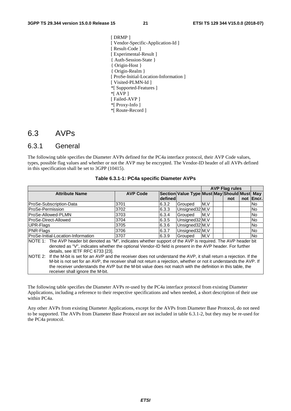[ DRMP ] [ Vendor-Specific-Application-Id ] [ Result-Code ] [ Experimental-Result ] { Auth-Session-State } { Origin-Host } { Origin-Realm } [ ProSe-Initial-Location-Information ] [ Visited-PLMN-Id ] \*[ Supported-Features ]  $*$ [ AVP ] [ Failed-AVP ] \*[ Proxy-Info ] \*[ Route-Record ]

### 6.3 AVPs

#### 6.3.1 General

The following table specifies the Diameter AVPs defined for the PC4a interface protocol, their AVP Code values, types, possible flag values and whether or not the AVP may be encrypted. The Vendor-ID header of all AVPs defined in this specification shall be set to 3GPP (10415).

| <b>AVP Flag rules</b>                                                                                                    |                 |         |                                             |     |  |     |     |               |
|--------------------------------------------------------------------------------------------------------------------------|-----------------|---------|---------------------------------------------|-----|--|-----|-----|---------------|
| <b>Attribute Name</b>                                                                                                    | <b>AVP Code</b> |         | Section Value Type Must May Should Must May |     |  |     |     |               |
|                                                                                                                          |                 | defined |                                             |     |  | not | not | <b>IEncr.</b> |
| ProSe-Subscription-Data                                                                                                  | 3701            | 6.3.2   | Grouped                                     | M.V |  |     |     | No.           |
| ProSe-Permission                                                                                                         | 3702            | 6.3.3   | Unsigned32 <sub>M,V</sub>                   |     |  |     |     | <b>No</b>     |
| ProSe-Allowed-PLMN                                                                                                       | 3703            | 6.3.4   | Grouped                                     | M.V |  |     |     | <b>No</b>     |
| lProSe-Direct-Allowed                                                                                                    | 3704            | 6.3.5   | Unsigned32 <sub>M,V</sub>                   |     |  |     |     | <b>No</b>     |
| UPR-Flags                                                                                                                | 3705            | 6.3.6   | Unsigned32 <sub>M,V</sub>                   |     |  |     |     | No            |
| PNR-Flags                                                                                                                | 3706            | 6.3.7   | Unsigned32 <sub>M,V</sub>                   |     |  |     |     | <b>No</b>     |
| ProSe-Initial-Location-Information                                                                                       | 3707            | 6.3.9   | Grouped                                     | M.V |  |     |     | INo.          |
| NOTE 1: The AVP header bit denoted as "M", indicates whether support of the AVP is required. The AVP header bit          |                 |         |                                             |     |  |     |     |               |
| denoted as "V", indicates whether the optional Vendor-ID field is present in the AVP header. For further                 |                 |         |                                             |     |  |     |     |               |
| details, see IETF RFC 6733 [23].                                                                                         |                 |         |                                             |     |  |     |     |               |
| NOTE 2: If the M-bit is set for an AVP and the receiver does not understand the AVP, it shall return a rejection. If the |                 |         |                                             |     |  |     |     |               |
| M-bit is not set for an AVP, the receiver shall not return a rejection, whether or not it understands the AVP. If        |                 |         |                                             |     |  |     |     |               |
| the receiver understands the AVP but the M-bit value does not match with the definition in this table, the               |                 |         |                                             |     |  |     |     |               |
| receiver shall ignore the M-bit.                                                                                         |                 |         |                                             |     |  |     |     |               |

#### **Table 6.3.1-1: PC4a specific Diameter AVPs**

The following table specifies the Diameter AVPs re-used by the PC4a interface protocol from existing Diameter Applications, including a reference to their respective specifications and when needed, a short description of their use within PC4a.

Any other AVPs from existing Diameter Applications, except for the AVPs from Diameter Base Protocol, do not need to be supported. The AVPs from Diameter Base Protocol are not included in table 6.3.1-2, but they may be re-used for the PC4a protocol.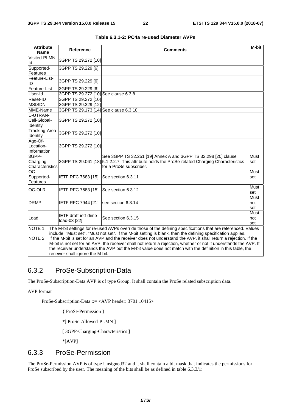| <b>Attribute</b><br><b>Name</b>                                                                                                                                                                                                                                                                                                                                         | <b>Reference</b>                      | <b>Comments</b>                                                                                                                                                                             | M-bit              |  |
|-------------------------------------------------------------------------------------------------------------------------------------------------------------------------------------------------------------------------------------------------------------------------------------------------------------------------------------------------------------------------|---------------------------------------|---------------------------------------------------------------------------------------------------------------------------------------------------------------------------------------------|--------------------|--|
| Visited-PLMN-<br>ld                                                                                                                                                                                                                                                                                                                                                     | 3GPP TS 29.272 [10]                   |                                                                                                                                                                                             |                    |  |
| Supported-<br>Features                                                                                                                                                                                                                                                                                                                                                  | 3GPP TS 29.229 [6]                    |                                                                                                                                                                                             |                    |  |
| Feature-List-<br>ID                                                                                                                                                                                                                                                                                                                                                     | 3GPP TS 29.229 [6]                    |                                                                                                                                                                                             |                    |  |
| Feature-List                                                                                                                                                                                                                                                                                                                                                            | 3GPP TS 29.229 [6]                    |                                                                                                                                                                                             |                    |  |
| User-Id                                                                                                                                                                                                                                                                                                                                                                 | 3GPP TS 29.272 [10] See clause 6.3.8  |                                                                                                                                                                                             |                    |  |
| Reset-ID                                                                                                                                                                                                                                                                                                                                                                | 3GPP TS 29.272 [10]                   |                                                                                                                                                                                             |                    |  |
| <b>MSISDN</b>                                                                                                                                                                                                                                                                                                                                                           | 3GPP TS 29.329 [12]                   |                                                                                                                                                                                             |                    |  |
| MME-Name                                                                                                                                                                                                                                                                                                                                                                | 3GPP TS 29.173 [14] See clause 6.3.10 |                                                                                                                                                                                             |                    |  |
| E-UTRAN-<br>Cell-Global-<br>Identity                                                                                                                                                                                                                                                                                                                                    | 3GPP TS 29.272 [10]                   |                                                                                                                                                                                             |                    |  |
| Tracking-Area-<br>Identity                                                                                                                                                                                                                                                                                                                                              | 3GPP TS 29.272 [10]                   |                                                                                                                                                                                             |                    |  |
| Age-Of-<br>Location-<br>Information                                                                                                                                                                                                                                                                                                                                     | 3GPP TS 29.272 [10]                   |                                                                                                                                                                                             |                    |  |
| 3GPP-<br>Charging-<br>Characteristics                                                                                                                                                                                                                                                                                                                                   |                                       | See 3GPP TS 32.251 [19] Annex A and 3GPP TS 32.298 [20] clause<br>3GPP TS 29.061 [18] 5.1.2.2.7. This attribute holds the ProSe-related Charging Characteristics<br>for a ProSe subscriber. | Must<br>set        |  |
| $\overline{OC}$ -<br>Supported-<br>Features                                                                                                                                                                                                                                                                                                                             | IETF RFC 7683 [15]                    | See section 6.3.11                                                                                                                                                                          | Must<br>set        |  |
| OC-OLR                                                                                                                                                                                                                                                                                                                                                                  | IETF RFC 7683 [15]                    | See section 6.3.12                                                                                                                                                                          | Must<br>set        |  |
| <b>DRMP</b>                                                                                                                                                                                                                                                                                                                                                             | <b>IETF RFC 7944 [21]</b>             | see section 6.3.14                                                                                                                                                                          | Must<br>not<br>set |  |
| Load                                                                                                                                                                                                                                                                                                                                                                    | IETF draft-ietf-dime-<br>load-03 [22] | See section 6.3.15                                                                                                                                                                          | Must<br>not<br>set |  |
| NOTE 1:<br>The M-bit settings for re-used AVPs override those of the defining specifications that are referenced. Values<br>include: "Must set", "Must not set". If the M-bit setting is blank, then the defining specification applies.<br>NOTE 2:<br>If the M-bit is set for an AVP and the receiver does not understand the AVP, it shall return a rejection. If the |                                       |                                                                                                                                                                                             |                    |  |

|  |  |  | Table 6.3.1-2: PC4a re-used Diameter AVPs |
|--|--|--|-------------------------------------------|
|--|--|--|-------------------------------------------|

NOTE 2: If the M-bit is set for an AVP and the receiver does not understand the AVP, it shall return a rejection. If the M-bit is not set for an AVP, the receiver shall not return a rejection, whether or not it understands the AVP. If the receiver understands the AVP but the M-bit value does not match with the definition in this table, the receiver shall ignore the M-bit.

#### 6.3.2 ProSe-Subscription-Data

The ProSe-Subscription-Data AVP is of type Group. It shall contain the ProSe related subscription data.

AVP format

ProSe-Subscription-Data ::= <AVP header: 3701 10415>

- { ProSe-Permission }
- \*[ ProSe-Allowed-PLMN ]

[ 3GPP-Charging-Characteristics ]

\*[AVP]

#### 6.3.3 ProSe-Permission

The ProSe-Permission AVP is of type Unsigned32 and it shall contain a bit mask that indicates the permissions for ProSe subscribed by the user. The meaning of the bits shall be as defined in table 6.3.3/1: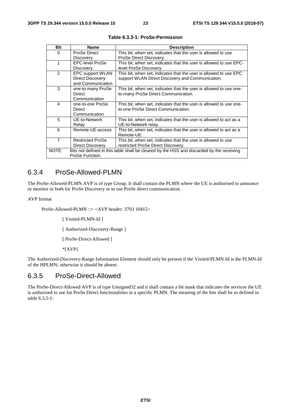| Bit            | <b>Name</b>             | <b>Description</b>                                                                        |
|----------------|-------------------------|-------------------------------------------------------------------------------------------|
| $\Omega$       | ProSe Direct            | This bit, when set, indicates that the user is allowed to use                             |
|                | Discovery               | ProSe Direct Discovery.                                                                   |
| 1              | <b>EPC-level ProSe</b>  | This bit, when set, indicates that the user is allowed to use EPC-                        |
|                | Discovery               | level ProSe Discovery.                                                                    |
| 2              | EPC support WLAN        | This bit, when set, indicates that the user is allowed to use EPC                         |
|                | <b>Direct Discovery</b> | support WLAN Direct Discovery and Communication.                                          |
|                | and Communication       |                                                                                           |
| 3              | one-to-many ProSe       | This bit, when set, indicates that the user is allowed to use one-                        |
|                | Direct                  | to-many ProSe Direct Communication.                                                       |
|                | Communication           |                                                                                           |
| 4              | one-to-one ProSe        | This bit, when set, indicates that the user is allowed to use one-                        |
|                | Direct                  | to-one ProSe Direct Communication.                                                        |
|                | Communication           |                                                                                           |
| 5              | UE-to-Network           | This bit, when set, indicates that the user is allowed to act as a                        |
|                | Relay                   | UE-to-Network relay.                                                                      |
| 6              | Remote-UE-access        | This bit, when set, indicates that the user is allowed to act as a                        |
|                |                         | Remote-UE.                                                                                |
| $\overline{7}$ | <b>Restricted ProSe</b> | This bit, when set, indicates that the user is allowed to use                             |
|                | Direct Discovery        | restricted ProSe Direct Discovery.                                                        |
| NOTE:          |                         | Bits not defined in this table shall be cleared by the HSS and discarded by the receiving |
|                | ProSe Function.         |                                                                                           |

**Table 6.3.3-1: ProSe-Permission** 

#### 6.3.4 ProSe-Allowed-PLMN

The ProSe-Allowed-PLMN AVP is of type Group. It shall contain the PLMN where the UE is authorised to announce or monitor or both for ProSe Discovery or to use ProSe direct communication.

AVP format

ProSe-Allowed-PLMN ::= <AVP header: 3703 10415>

[ Visited-PLMN-Id ]

[ Authorized-Discovery-Range ]

[ ProSe-Direct-Allowed ]

\*[AVP]

The Authorized-Discovery-Range Information Element should only be present if the Visited-PLMN-Id is the PLMN-Id of the HPLMN; otherwise it should be absent.

#### 6.3.5 ProSe-Direct-Allowed

The ProSe-Direct-Allowed AVP is of type Unsigned32 and it shall contain a bit mask that indicates the services the UE is authorised to use for ProSe Direct functionalities in a specific PLMN. The meaning of the bits shall be as defined in table 6.3.5-1: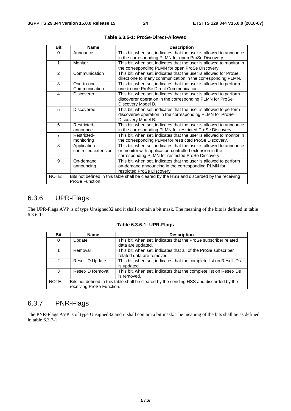| <b>Bit</b>      | <b>Name</b>          | <b>Description</b>                                                                        |  |
|-----------------|----------------------|-------------------------------------------------------------------------------------------|--|
| 0               | Announce             | This bit, when set, indicates that the user is allowed to announce                        |  |
|                 |                      | in the corresponding PLMN for open ProSe Discovery.                                       |  |
| 1               | Monitor              | This bit, when set, indicates that the user is allowed to monitor in                      |  |
|                 |                      | the corresponding PLMN for open ProSe Discovery.                                          |  |
| $\overline{2}$  | Communication        | This bit, when set, indicates that the user is allowed for ProSe                          |  |
|                 |                      | direct one to many communication in the corresponding PLMN.                               |  |
| 3               | One-to-one           | This bit, when set, indicates that the user is allowed to perform                         |  |
|                 | Communication        | one-to-one ProSe Direct Communication.                                                    |  |
| 4               | <b>Discoverer</b>    | This bit, when set, indicates that the user is allowed to perform                         |  |
|                 |                      | discoverer operation in the corresponding PLMN for ProSe                                  |  |
|                 |                      | Discovery Model B.                                                                        |  |
| 5               | <b>Discoveree</b>    | This bit, when set, indicates that the user is allowed to perform                         |  |
|                 |                      | discoveree operation in the corresponding PLMN for ProSe                                  |  |
|                 |                      | Discovery Model B.                                                                        |  |
| 6               | Restricted-          | This bit, when set, indicates that the user is allowed to announce                        |  |
|                 | announce             | in the corresponding PLMN for restricted ProSe Discovery.                                 |  |
| $\overline{7}$  | Restricted-          | This bit, when set, indicates that the user is allowed to monitor in                      |  |
|                 | monitoring           | the corresponding PLMN for restricted ProSe Discovery.                                    |  |
| 8               | Application-         | This bit, when set, indicates that the user is allowed to announce                        |  |
|                 | controlled extension | or monitor with application-controlled extension in the                                   |  |
|                 |                      | corresponding PLMN for restricted ProSe Discovery                                         |  |
| 9               | On-demand            | This bit, when set, indicates that the user is allowed to perform                         |  |
|                 | announcing           | on-demand announcing in the corresponding PLMN for                                        |  |
|                 |                      | restricted ProSe Discovery                                                                |  |
| NOTE:           |                      | Bits not defined in this table shall be cleared by the HSS and discarded by the receiving |  |
| ProSe Function. |                      |                                                                                           |  |

## 6.3.6 UPR-Flags

The UPR-Flags AVP is of type Unsigned32 and it shall contain a bit mask. The meaning of the bits is defined in table 6.3.6-1:

| <b>Bit</b>     | <b>Name</b>                                                                                                          | <b>Description</b>                                                                          |  |
|----------------|----------------------------------------------------------------------------------------------------------------------|---------------------------------------------------------------------------------------------|--|
| 0              | Update                                                                                                               | This bit, when set, indicates that the ProSe subscriber related<br>data are updated.        |  |
|                | Removal                                                                                                              | This bit, when set, indicates that all of the ProSe subscriber<br>related data are removed. |  |
| $\mathfrak{p}$ | Reset-ID Update                                                                                                      | This bit, when set, indicates that the complete list on Reset-IDs<br>is updated.            |  |
| 3              | Reset-ID Removal                                                                                                     | This bit, when set, indicates that the complete list on Reset-IDs<br>is removed.            |  |
| NOTE:          | Bits not defined in this table shall be cleared by the sending HSS and discarded by the<br>receiving ProSe Function. |                                                                                             |  |

### 6.3.7 PNR-Flags

The PNR-Flags AVP is of type Unsigned32 and it shall contain a bit mask. The meaning of the bits shall be as defined in table 6.3.7-1: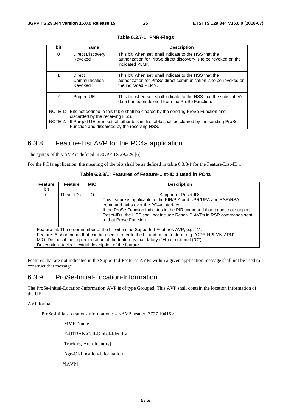| bit           | name                                                                                                                                        | <b>Description</b>                                                                                                                                |  |  |
|---------------|---------------------------------------------------------------------------------------------------------------------------------------------|---------------------------------------------------------------------------------------------------------------------------------------------------|--|--|
| 0             | Direct Discovery<br>Revoked                                                                                                                 | This bit, when set, shall indicate to the HSS that the<br>authorization for ProSe direct discovery is to be revoked on the<br>indicated PLMN.     |  |  |
|               | Direct<br>Communication<br>Revoked                                                                                                          | This bit, when set, shall indicate to the HSS that the<br>authorization for ProSe direct communication is to be revoked on<br>the indicated PLMN. |  |  |
| $\mathcal{P}$ | Purged UE                                                                                                                                   | This bit, when set, shall indicate to the HSS that the subscriber's<br>data has been deleted from the ProSe Function.                             |  |  |
|               | NOTE 1: Bits not defined in this table shall be cleared by the sending ProSe Function and                                                   |                                                                                                                                                   |  |  |
|               | discarded by the receiving HSS.                                                                                                             |                                                                                                                                                   |  |  |
| NOTE 2:       | If Purged UE bit is set, all other bits in this table shall be cleared by the sending ProSe<br>Function and discarded by the receiving HSS. |                                                                                                                                                   |  |  |

**Table 6.3.7-1: PNR-Flags** 

### 6.3.8 Feature-List AVP for the PC4a application

The syntax of this AVP is defined in 3GPP TS 29.229 [6].

For the PC4a application, the meaning of the bits shall be as defined in table 6.3.8/1 for the Feature-List-ID 1.

| <b>Feature</b>                                                                                                                                                                                                                                                                                                                                       | <b>Feature</b> | M/O     | <b>Description</b>                                                                                                                                                                                                                                                                                                       |  |
|------------------------------------------------------------------------------------------------------------------------------------------------------------------------------------------------------------------------------------------------------------------------------------------------------------------------------------------------------|----------------|---------|--------------------------------------------------------------------------------------------------------------------------------------------------------------------------------------------------------------------------------------------------------------------------------------------------------------------------|--|
| bit                                                                                                                                                                                                                                                                                                                                                  |                |         |                                                                                                                                                                                                                                                                                                                          |  |
| $\Omega$                                                                                                                                                                                                                                                                                                                                             | Reset-IDs      | $\circ$ | Support of Reset-IDs<br>This feature is applicable to the PIR/PIA and UPR/UPA and RSR/RSA<br>command pairs over the PC4a interface.<br>If the ProSe Function indicates in the PIR command that it does not support<br>Reset-IDs, the HSS shall not include Reset-ID AVPs in RSR commands sent<br>to that Prose Function. |  |
| Feature bit: The order number of the bit within the Supported-Features AVP, e.g. "1".<br>Feature: A short name that can be used to refer to the bit and to the feature, e.g. "ODB-HPLMN-APN".<br>M/O: Defines if the implementation of the feature is mandatory ("M") or optional ("O").<br>Description: A clear textual description of the feature. |                |         |                                                                                                                                                                                                                                                                                                                          |  |

**Table 6.3.8/1: Features of Feature-List-ID 1 used in PC4a** 

Features that are not indicated in the Supported-Features AVPs within a given application message shall not be used to construct that message.

#### 6.3.9 ProSe-Initial-Location-Information

The ProSe-Initial-Location-Information AVP is of type Grouped. This AVP shall contain the location information of the UE.

AVP format

ProSe-Initial-Location-Information ::= <AVP header: 3707 10415>

[MME-Name]

[E-UTRAN-Cell-Global-Identity]

[Tracking-Area-Identity]

[Age-Of-Location-Information]

\*[AVP]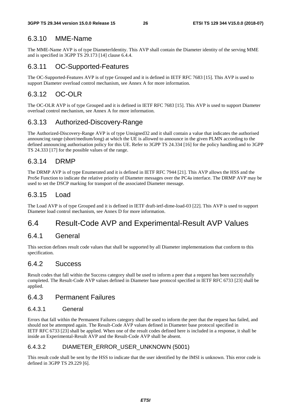#### 6.3.10 MME-Name

The MME-Name AVP is of type DiameterIdentity. This AVP shall contain the Diameter identity of the serving MME and is specified in 3GPP TS 29.173 [14] clause 6.4.4.

#### 6.3.11 OC-Supported-Features

The OC-Supported-Features AVP is of type Grouped and it is defined in IETF RFC 7683 [15]. This AVP is used to support Diameter overload control mechanism, see Annex A for more information.

### 6.3.12 OC-OLR

The OC-OLR AVP is of type Grouped and it is defined in IETF RFC 7683 [15]. This AVP is used to support Diameter overload control mechanism, see Annex A for more information.

#### 6.3.13 Authorized-Discovery-Range

The Authorized-Discovery-Range AVP is of type Unsigned32 and it shall contain a value that indicates the authorised announcing range (short/medium/long) at which the UE is allowed to announce in the given PLMN according to the defined announcing authorisation policy for this UE. Refer to 3GPP TS 24.334 [16] for the policy handling and to 3GPP TS 24.333 [17] for the possible values of the range.

#### 6.3.14 DRMP

The DRMP AVP is of type Enumerated and it is defined in IETF RFC 7944 [21]. This AVP allows the HSS and the ProSe Function to indicate the relative priority of Diameter messages over the PC4a interface. The DRMP AVP may be used to set the DSCP marking for transport of the associated Diameter message.

#### 6.3.15 Load

The Load AVP is of type Grouped and it is defined in IETF draft-ietf-dime-load-03 [22]. This AVP is used to support Diameter load control mechanism, see Annex D for more information.

## 6.4 Result-Code AVP and Experimental-Result AVP Values

#### 6.4.1 General

This section defines result code values that shall be supported by all Diameter implementations that conform to this specification.

#### 6.4.2 Success

Result codes that fall within the Success category shall be used to inform a peer that a request has been successfully completed. The Result-Code AVP values defined in Diameter base protocol specified in IETF RFC 6733 [23] shall be applied.

#### 6.4.3 Permanent Failures

#### 6.4.3.1 General

Errors that fall within the Permanent Failures category shall be used to inform the peer that the request has failed, and should not be attempted again. The Result-Code AVP values defined in Diameter base protocol specified in IETF RFC 6733 [23] shall be applied. When one of the result codes defined here is included in a response, it shall be inside an Experimental-Result AVP and the Result-Code AVP shall be absent.

#### 6.4.3.2 DIAMETER\_ERROR\_USER\_UNKNOWN (5001)

This result code shall be sent by the HSS to indicate that the user identified by the IMSI is unknown. This error code is defined in 3GPP TS 29.229 [6].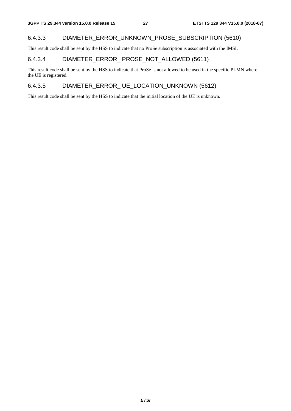#### 6.4.3.3 DIAMETER\_ERROR\_UNKNOWN\_PROSE\_SUBSCRIPTION (5610)

This result code shall be sent by the HSS to indicate that no ProSe subscription is associated with the IMSI.

#### 6.4.3.4 DIAMETER\_ERROR\_ PROSE\_NOT\_ALLOWED (5611)

This result code shall be sent by the HSS to indicate that ProSe is not allowed to be used in the specific PLMN where the UE is registered.

#### 6.4.3.5 DIAMETER\_ERROR\_ UE\_LOCATION\_UNKNOWN (5612)

This result code shall be sent by the HSS to indicate that the initial location of the UE is unknown.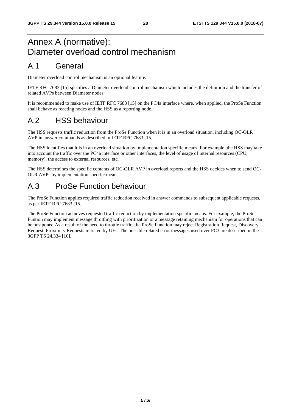## Annex A (normative): Diameter overload control mechanism

## A.1 General

Diameter overload control mechanism is an optional feature.

IETF RFC 7683 [15] specifies a Diameter overload control mechanism which includes the definition and the transfer of related AVPs between Diameter nodes.

It is recommended to make use of IETF RFC 7683 [15] on the PC4a interface where, when applied, the ProSe Function shall behave as reacting nodes and the HSS as a reporting node.

## A.2 HSS behaviour

The HSS requests traffic reduction from the ProSe Function when it is in an overload situation, including OC-OLR AVP in answer commands as described in IETF RFC 7683 [15].

The HSS identifies that it is in an overload situation by implementation specific means. For example, the HSS may take into account the traffic over the PC4a interface or other interfaces, the level of usage of internal resources (CPU, memory), the access to external resources, etc.

The HSS determines the specific contents of OC-OLR AVP in overload reports and the HSS decides when to send OC-OLR AVPs by implementation specific means.

## A.3 ProSe Function behaviour

The ProSe Function applies required traffic reduction received in answer commands to subsequent applicable requests, as per IETF RFC 7683 [15].

The ProSe Function achieves requested traffic reduction by implementation specific means. For example, the ProSe Funtion may implement message throttling with prioritization or a message retaining mechanism for operations that can be postponed.As a result of the need to throttle traffic, the ProSe Function may reject Registration Request, Discovery Request, Proximity Requests initiated by UEs. The possible related error messages used over PC3 are described in the 3GPP TS 24.334 [16].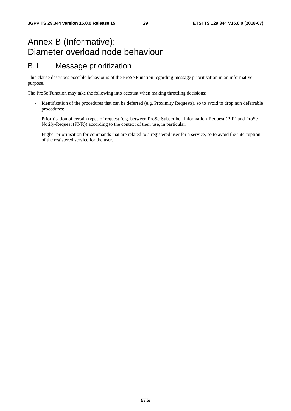## Annex B (Informative): Diameter overload node behaviour

### B.1 Message prioritization

This clause describes possible behaviours of the ProSe Function regarding message prioritisation in an informative purpose.

The ProSe Function may take the following into account when making throttling decisions:

- Identification of the procedures that can be deferred (e.g. Proximity Requests), so to avoid to drop non deferrable procedures;
- Prioritisation of certain types of request (e.g. between ProSe-Subscriber-Information-Request (PIR) and ProSe-Notify-Request (PNR)) according to the context of their use, in particular:
- Higher prioritisation for commands that are related to a registered user for a service, so to avoid the interruption of the registered service for the user.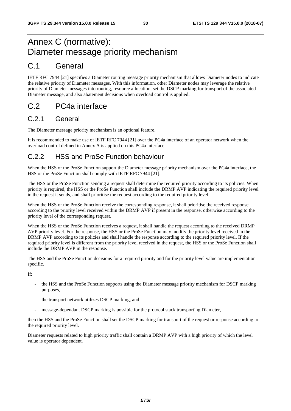## Annex C (normative): Diameter message priority mechanism

### C.1 General

IETF RFC 7944 [21] specifies a Diameter routing message priority mechanism that allows Diameter nodes to indicate the relative priority of Diameter messages. With this information, other Diameter nodes may leverage the relative priority of Diameter messages into routing, resource allocation, set the DSCP marking for transport of the associated Diameter message, and also abatement decisions when overload control is applied.

### C.2 PC4a interface

#### C.2.1 General

The Diameter message priority mechanism is an optional feature.

It is recommended to make use of IETF RFC 7944 [21] over the PC4a interface of an operator network when the overload control defined in Annex A is applied on this PC4a interface.

#### C.2.2 HSS and ProSe Function behaviour

When the HSS or the ProSe Function support the Diameter message priority mechanism over the PC4a interface, the HSS or the ProSe Function shall comply with IETF RFC 7944 [21].

The HSS or the ProSe Function sending a request shall determine the required priority according to its policies. When priority is required, the HSS or the ProSe Function shall include the DRMP AVP indicating the required priority level in the request it sends, and shall prioritise the request according to the required priority level.

When the HSS or the ProSe Function receive the corresponding response, it shall prioritise the received response according to the priority level received within the DRMP AVP if present in the response, otherwise according to the priority level of the corresponding request.

When the HSS or the ProSe Function receives a request, it shall handle the request according to the received DRMP AVP priority level. For the response, the HSS or the ProSe Function may modify the priority level received in the DRMP AVP according to its policies and shall handle the response according to the required priority level. If the required priority level is different from the priority level received in the request, the HSS or the ProSe Function shall include the DRMP AVP in the response.

The HSS and the ProSe Function decisions for a required priority and for the priority level value are implementation specific.

If:

- the HSS and the ProSe Function supports using the Diameter message priority mechanism for DSCP marking purposes,
- the transport network utilizes DSCP marking, and
- message-dependant DSCP marking is possible for the protocol stack transporting Diameter,

then the HSS and the ProSe Function shall set the DSCP marking for transport of the request or response according to the required priority level.

Diameter requests related to high priority traffic shall contain a DRMP AVP with a high priority of which the level value is operator dependent.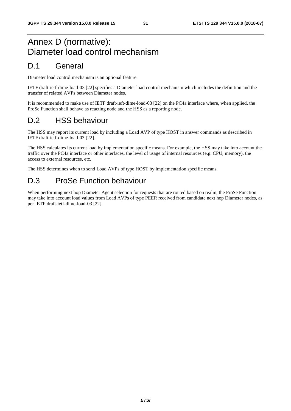## Annex D (normative): Diameter load control mechanism

### D.1 General

Diameter load control mechanism is an optional feature.

IETF draft-ietf-dime-load-03 [22] specifies a Diameter load control mechanism which includes the definition and the transfer of related AVPs between Diameter nodes.

It is recommended to make use of IETF draft-ieft-dime-load-03 [22] on the PC4a interface where, when applied, the ProSe Function shall behave as reacting node and the HSS as a reporting node.

## D.2 HSS behaviour

The HSS may report its current load by including a Load AVP of type HOST in answer commands as described in IETF draft-ietf-dime-load-03 [22].

The HSS calculates its current load by implementation specific means. For example, the HSS may take into account the traffic over the PC4a interface or other interfaces, the level of usage of internal resources (e.g. CPU, memory), the access to external resources, etc.

The HSS determines when to send Load AVPs of type HOST by implementation specific means.

## D.3 ProSe Function behaviour

When performing next hop Diameter Agent selection for requests that are routed based on realm, the ProSe Function may take into account load values from Load AVPs of type PEER received from candidate next hop Diameter nodes, as per IETF draft-ietf-dime-load-03 [22].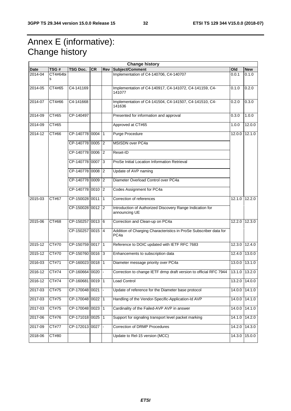## Annex E (informative): Change history

| <b>Change history</b> |               |                  |           |                |                                                                                       |        |               |
|-----------------------|---------------|------------------|-----------|----------------|---------------------------------------------------------------------------------------|--------|---------------|
| <b>Date</b>           | TSG#          | TSG Doc.         | <b>CR</b> | <b>Rev</b>     | <b>Subject/Comment</b>                                                                | Old    | <b>New</b>    |
| 2014-04               | CT4#64bi<br>s |                  |           |                | Implementation of C4-140706, C4-140707                                                | 0.0.1  | 0.1.0         |
| 2014-05               | CT4#65        | C4-141169        |           |                | Implementation of C4-140917, C4-141072, C4-141159, C4-<br>141077                      | 0.1.0  | 0.2.0         |
| 2014-07               | CT4#66        | C4-141668        |           |                | Implementation of C4-141504, C4-141507, C4-141510, C4-<br>141636                      | 0.2.0  | 0.3.0         |
| 2014-09               | CT#65         | CP-140497        |           |                | Presented for information and approval                                                | 0.3.0  | 1.0.0         |
| 2014-09               | CT#65         |                  |           |                | Approved at CT#65                                                                     | 1.0.0  | 12.0.0        |
| 2014-12               | CT#66         | CP-140778 0004 1 |           |                | <b>Purge Procedure</b>                                                                |        | 12.0.0 12.1.0 |
|                       |               | CP-140778 0005 2 |           |                | MSISDN over PC4a                                                                      |        |               |
|                       |               | CP-140778 0006 2 |           |                | Reset-ID                                                                              |        |               |
|                       |               | CP-140778 0007 3 |           |                | ProSe Initial Location Information Retrieval                                          |        |               |
|                       |               | CP-140778 0008 2 |           |                | Update of AVP naming                                                                  |        |               |
|                       |               | CP-140778 0009   |           | $ 2\rangle$    | Diameter Overload Control over PC4a                                                   |        |               |
|                       |               | CP-140778 0010 2 |           |                | Codes Assignment for PC4a                                                             |        |               |
| 2015-03               | CT#67         | CP-150028 0011   |           | $\vert$ 1      | Correction of references                                                              |        | 12.1.0 12.2.0 |
|                       |               | CP-150028 0012 2 |           |                | Introduction of Authorized Discovery Range Indication for<br>announcing UE            |        |               |
| 2015-06               | CT#68         | CP-150257 0013 6 |           |                | Correction and Clean-up on PC4a                                                       |        | 12.2.0 12.3.0 |
|                       |               | CP-150257 0015 4 |           |                | Addition of Charging Characteristics in ProSe Subscriber data for<br>PC <sub>4a</sub> |        |               |
| $2015 - 12$           | <b>CT#70</b>  | CP-150759 0017 1 |           |                | Reference to DOIC updated with IETF RFC 7683                                          |        | 12.3.0 12.4.0 |
| $2015 - 12$           | <b>CT#70</b>  | CP-150760 0016 3 |           |                | Enhancements to subscription data                                                     |        | 12.4.0 13.0.0 |
| 2016-03               | CT#71         | CP-160023 0018 1 |           |                | Diameter message priority over PC4a                                                   |        | 13.0.0 13.1.0 |
| 2016-12               | CT#74         | CP-160664 0020   |           |                | Correction to change IETF drmp draft version to official RFC 7944                     |        | 13.1.0 13.2.0 |
| 2016-12               | CT#74         | CP-160681 0019 1 |           |                | Load Control                                                                          |        | 13.2.0 14.0.0 |
| 2017-03               | CT#75         | CP-170048 0021   |           |                | Update of reference for the Diameter base protocol                                    |        | 14.0.0 14.1.0 |
| 2017-03               | CT#75         | CP-170048 0022 1 |           |                | Handling of the Vendor-Specific-Application-Id AVP                                    |        | 14.0.0 14.1.0 |
| 2017-03               | CT#75         | CP-170048 0023 1 |           |                | Cardinality of the Failed-AVP AVP in answer                                           |        | 14.0.0 14.1.0 |
| 2017-06               | CT#76         | CP-171018 0025 1 |           |                | Support for signaling transport level packet marking                                  |        | 14.1.0 14.2.0 |
| 2017-09               | <b>CT#77</b>  | CP-172013        | 0027      | $\blacksquare$ | Correction of DRMP Procedures                                                         | 14.2.0 | 14.3.0        |
| 2018-06               | CT#80         |                  |           |                | Update to Rel-15 version (MCC)                                                        |        | 14.3.0 15.0.0 |